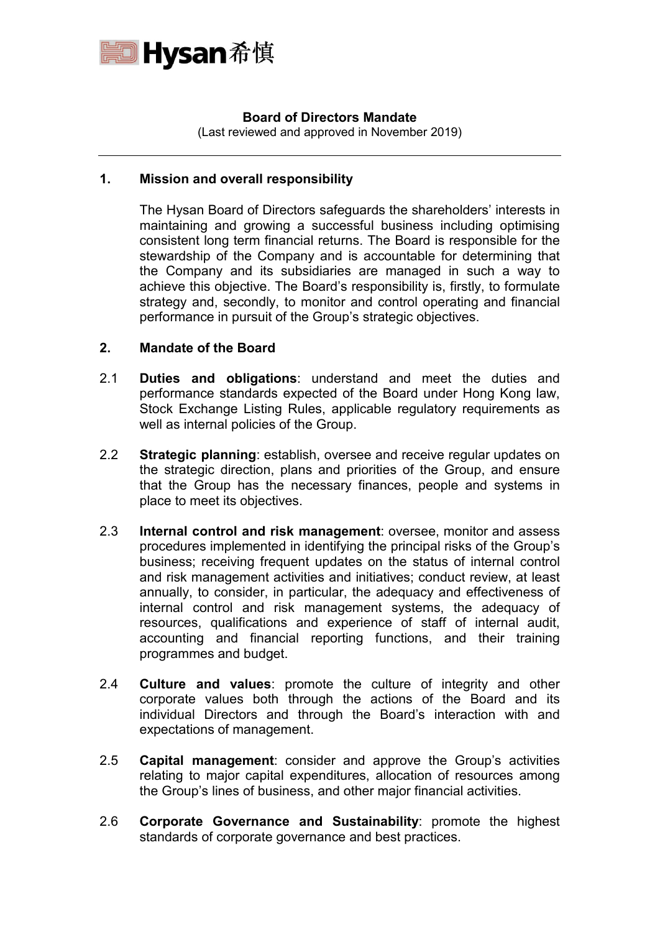

## **Board of Directors Mandate**

(Last reviewed and approved in November 2019)

## **1. Mission and overall responsibility**

The Hysan Board of Directors safeguards the shareholders' interests in maintaining and growing a successful business including optimising consistent long term financial returns. The Board is responsible for the stewardship of the Company and is accountable for determining that the Company and its subsidiaries are managed in such a way to achieve this objective. The Board's responsibility is, firstly, to formulate strategy and, secondly, to monitor and control operating and financial performance in pursuit of the Group's strategic objectives.

## **2. Mandate of the Board**

- 2.1 **Duties and obligations**: understand and meet the duties and performance standards expected of the Board under Hong Kong law, Stock Exchange Listing Rules, applicable regulatory requirements as well as internal policies of the Group.
- 2.2 **Strategic planning**: establish, oversee and receive regular updates on the strategic direction, plans and priorities of the Group, and ensure that the Group has the necessary finances, people and systems in place to meet its objectives.
- 2.3 **Internal control and risk management**: oversee, monitor and assess procedures implemented in identifying the principal risks of the Group's business; receiving frequent updates on the status of internal control and risk management activities and initiatives; conduct review, at least annually, to consider, in particular, the adequacy and effectiveness of internal control and risk management systems, the adequacy of resources, qualifications and experience of staff of internal audit, accounting and financial reporting functions, and their training programmes and budget.
- 2.4 **Culture and values**: promote the culture of integrity and other corporate values both through the actions of the Board and its individual Directors and through the Board's interaction with and expectations of management.
- 2.5 **Capital management**: consider and approve the Group's activities relating to major capital expenditures, allocation of resources among the Group's lines of business, and other major financial activities.
- 2.6 **Corporate Governance and Sustainability**: promote the highest standards of corporate governance and best practices.